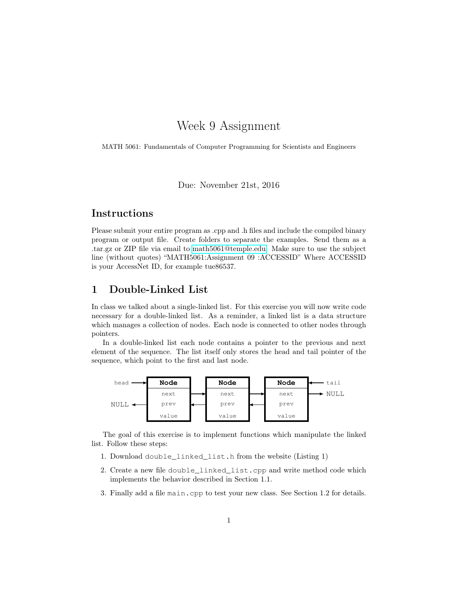# Week 9 Assignment

MATH 5061: Fundamentals of Computer Programming for Scientists and Engineers

Due: November 21st, 2016

## Instructions

Please submit your entire program as .cpp and .h files and include the compiled binary program or output file. Create folders to separate the examples. Send them as a .tar.gz or ZIP file via email to [math5061@temple.edu.](mailto:math5061@temple.edu) Make sure to use the subject line (without quotes) "MATH5061:Assignment 09 :ACCESSID" Where ACCESSID is your AccessNet ID, for example tue86537.

# 1 Double-Linked List

In class we talked about a single-linked list. For this exercise you will now write code necessary for a double-linked list. As a reminder, a linked list is a data structure which manages a collection of nodes. Each node is connected to other nodes through pointers.

In a double-linked list each node contains a pointer to the previous and next element of the sequence. The list itself only stores the head and tail pointer of the sequence, which point to the first and last node.



The goal of this exercise is to implement functions which manipulate the linked list. Follow these steps:

- 1. Download double\_linked\_list.h from the website (Listing 1)
- 2. Create a new file double\_linked\_list.cpp and write method code which implements the behavior described in Section 1.1.
- 3. Finally add a file main.cpp to test your new class. See Section 1.2 for details.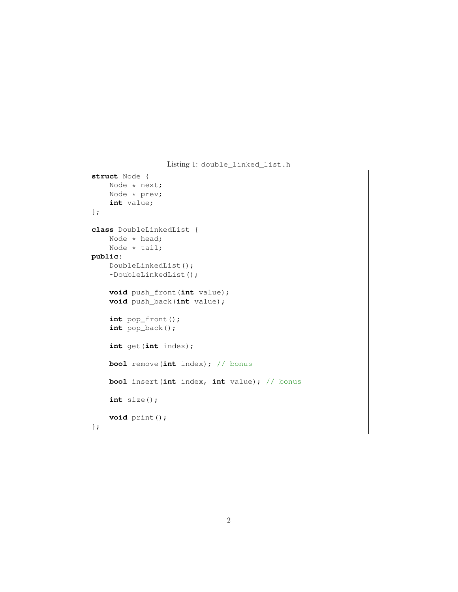Listing 1: double\_linked\_list.h

```
struct Node {
   Node * next;
   Node * prev;
    int value;
};
class DoubleLinkedList {
   Node * head;
   Node * tail;
public:
   DoubleLinkedList();
   ~DoubleLinkedList();
   void push_front (int value);
   void push_back(int value);
   int pop_front();
   int pop_back();
   int get(int index);
   bool remove(int index); // bonus
   bool insert(int index, int value); // bonus
   int size();
   void print();
```

```
};
```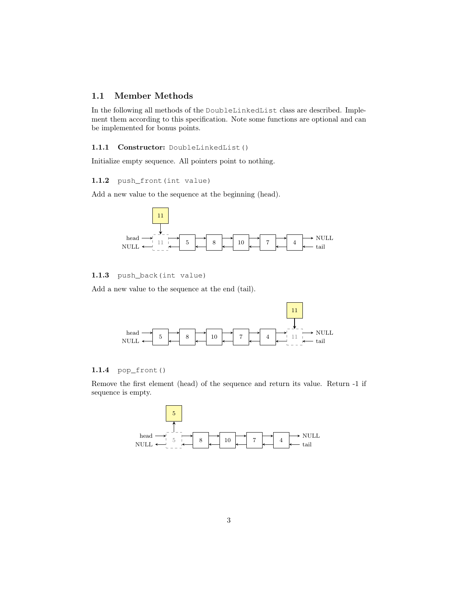### 1.1 Member Methods

In the following all methods of the DoubleLinkedList class are described. Implement them according to this specification. Note some functions are optional and can be implemented for bonus points.

#### 1.1.1 Constructor: DoubleLinkedList()

Initialize empty sequence. All pointers point to nothing.

#### 1.1.2 push\_front(int value)

Add a new value to the sequence at the beginning (head).



#### 1.1.3 push\_back(int value)

Add a new value to the sequence at the end (tail).



#### 1.1.4 pop\_front()

Remove the first element (head) of the sequence and return its value. Return -1 if sequence is empty.

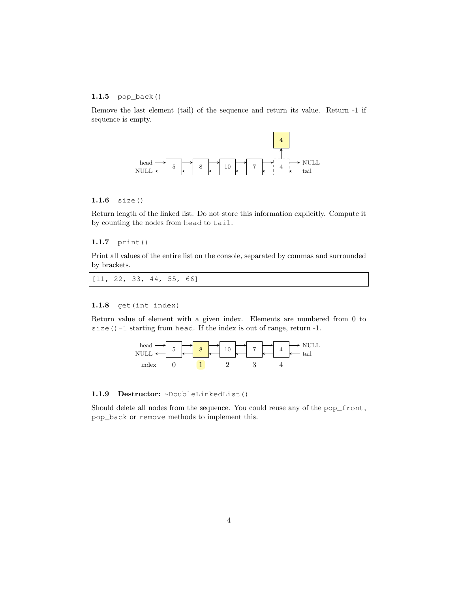#### 1.1.5  $pop\_back()$

Remove the last element (tail) of the sequence and return its value. Return -1 if sequence is empty.



#### 1.1.6 size()

Return length of the linked list. Do not store this information explicitly. Compute it by counting the nodes from head to tail.

#### 1.1.7 print()

Print all values of the entire list on the console, separated by commas and surrounded by brackets.

| [11, 22, 33, 44, 55, 66] |  |  |  |  |  |  |
|--------------------------|--|--|--|--|--|--|
|--------------------------|--|--|--|--|--|--|

#### 1.1.8 get(int index)

Return value of element with a given index. Elements are numbered from 0 to size()-1 starting from head. If the index is out of range, return -1.



#### 1.1.9 Destructor: ~DoubleLinkedList()

Should delete all nodes from the sequence. You could reuse any of the pop\_front, pop\_back or remove methods to implement this.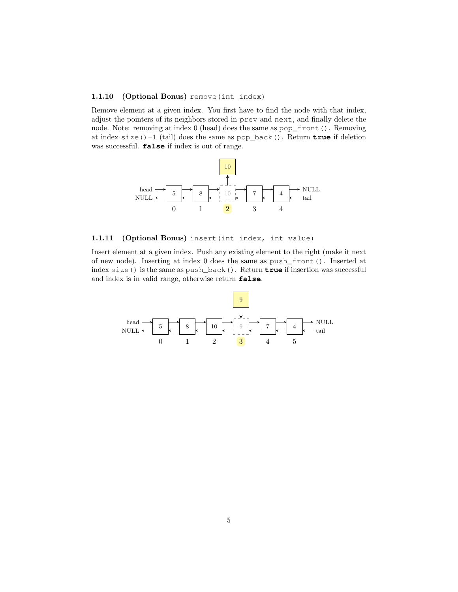#### 1.1.10 (Optional Bonus) remove (int index)

Remove element at a given index. You first have to find the node with that index, adjust the pointers of its neighbors stored in prev and next, and finally delete the node. Note: removing at index 0 (head) does the same as pop\_front(). Removing at index size()-1 (tail) does the same as pop\_back(). Return **true** if deletion was successful. **false** if index is out of range.



1.1.11 (Optional Bonus) insert (int index, int value)

Insert element at a given index. Push any existing element to the right (make it next of new node). Inserting at index 0 does the same as push\_front(). Inserted at index size() is the same as push\_back(). Return **true** if insertion was successful and index is in valid range, otherwise return **false**.

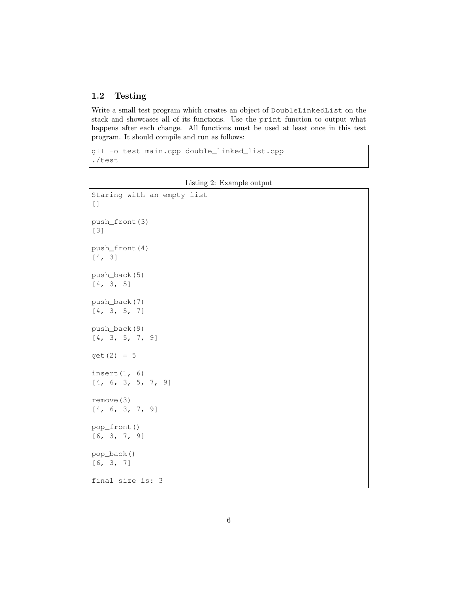### 1.2 Testing

Write a small test program which creates an object of DoubleLinkedList on the stack and showcases all of its functions. Use the print function to output what happens after each change. All functions must be used at least once in this test program. It should compile and run as follows:

```
g++ -o test main.cpp double_linked_list.cpp
./test
```

```
Staring with an empty list
[]
push_front(3)
[3]
push_front(4)
[4, 3]
push_back(5)
[4, 3, 5]
push_back(7)
[4, 3, 5, 7]
push_back(9)
[4, 3, 5, 7, 9]get(2) = 5insert(1, 6)[4, 6, 3, 5, 7, 9]
remove(3)
[4, 6, 3, 7, 9]
pop_front()
[6, 3, 7, 9]
pop_back()
[6, 3, 7]
final size is: 3
```
Listing 2: Example output